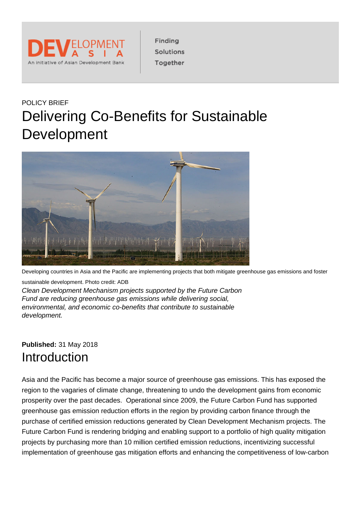

Finding Solutions Together

## POLICY BRIEF Delivering Co-Benefits for Sustainable Development



Developing countries in Asia and the Pacific are implementing projects that both mitigate greenhouse gas emissions and foster

sustainable development. Photo credit: ADB Clean Development Mechanism projects supported by the Future Carbon Fund are reducing greenhouse gas emissions while delivering social, environmental, and economic co-benefits that contribute to sustainable development.

### **Published:** 31 May 2018 **Introduction**

Asia and the Pacific has become a major source of greenhouse gas emissions. This has exposed the region to the vagaries of climate change, threatening to undo the development gains from economic prosperity over the past decades. Operational since 2009, the Future Carbon Fund has supported greenhouse gas emission reduction efforts in the region by providing carbon finance through the purchase of certified emission reductions generated by Clean Development Mechanism projects. The Future Carbon Fund is rendering bridging and enabling support to a portfolio of high quality mitigation projects by purchasing more than 10 million certified emission reductions, incentivizing successful implementation of greenhouse gas mitigation efforts and enhancing the competitiveness of low-carbon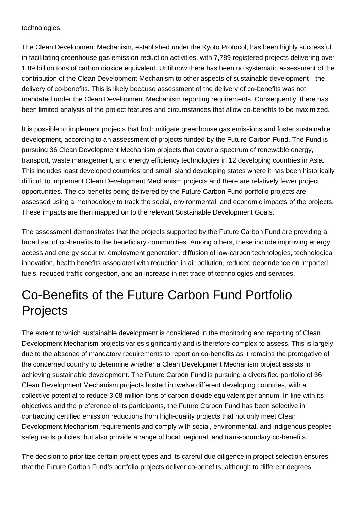technologies.

The Clean Development Mechanism, established under the Kyoto Protocol, has been highly successful in facilitating greenhouse gas emission reduction activities, with 7,789 registered projects delivering over 1.89 billion tons of carbon dioxide equivalent. Until now there has been no systematic assessment of the contribution of the Clean Development Mechanism to other aspects of sustainable development—the delivery of co-benefits. This is likely because assessment of the delivery of co-benefits was not mandated under the Clean Development Mechanism reporting requirements. Consequently, there has been limited analysis of the project features and circumstances that allow co-benefits to be maximized.

It is possible to implement projects that both mitigate greenhouse gas emissions and foster sustainable development, according to an assessment of projects funded by the Future Carbon Fund. The Fund is pursuing 36 Clean Development Mechanism projects that cover a spectrum of renewable energy, transport, waste management, and energy efficiency technologies in 12 developing countries in Asia. This includes least developed countries and small island developing states where it has been historically difficult to implement Clean Development Mechanism projects and there are relatively fewer project opportunities. The co-benefits being delivered by the Future Carbon Fund portfolio projects are assessed using a methodology to track the social, environmental, and economic impacts of the projects. These impacts are then mapped on to the relevant Sustainable Development Goals.

The assessment demonstrates that the projects supported by the Future Carbon Fund are providing a broad set of co-benefits to the beneficiary communities. Among others, these include improving energy access and energy security, employment generation, diffusion of low-carbon technologies, technological innovation, health benefits associated with reduction in air pollution, reduced dependence on imported fuels, reduced traffic congestion, and an increase in net trade of technologies and services.

## Co-Benefits of the Future Carbon Fund Portfolio **Projects**

The extent to which sustainable development is considered in the monitoring and reporting of Clean Development Mechanism projects varies significantly and is therefore complex to assess. This is largely due to the absence of mandatory requirements to report on co-benefits as it remains the prerogative of the concerned country to determine whether a Clean Development Mechanism project assists in achieving sustainable development. The Future Carbon Fund is pursuing a diversified portfolio of 36 Clean Development Mechanism projects hosted in twelve different developing countries, with a collective potential to reduce 3.68 million tons of carbon dioxide equivalent per annum. In line with its objectives and the preference of its participants, the Future Carbon Fund has been selective in contracting certified emission reductions from high-quality projects that not only meet Clean Development Mechanism requirements and comply with social, environmental, and indigenous peoples safeguards policies, but also provide a range of local, regional, and trans-boundary co-benefits.

The decision to prioritize certain project types and its careful due diligence in project selection ensures that the Future Carbon Fund's portfolio projects deliver co-benefits, although to different degrees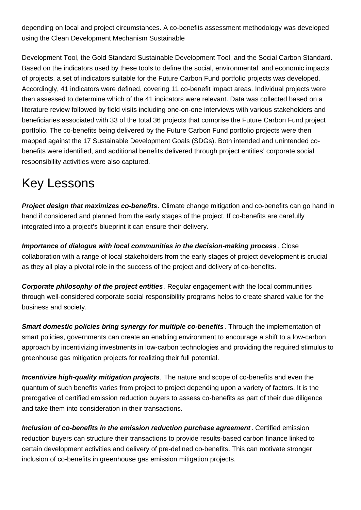depending on local and project circumstances. A co-benefits assessment methodology was developed using the Clean Development Mechanism Sustainable

Development Tool, the Gold Standard Sustainable Development Tool, and the Social Carbon Standard. Based on the indicators used by these tools to define the social, environmental, and economic impacts of projects, a set of indicators suitable for the Future Carbon Fund portfolio projects was developed. Accordingly, 41 indicators were defined, covering 11 co-benefit impact areas. Individual projects were then assessed to determine which of the 41 indicators were relevant. Data was collected based on a literature review followed by field visits including one-on-one interviews with various stakeholders and beneficiaries associated with 33 of the total 36 projects that comprise the Future Carbon Fund project portfolio. The co-benefits being delivered by the Future Carbon Fund portfolio projects were then mapped against the 17 Sustainable Development Goals (SDGs). Both intended and unintended cobenefits were identified, and additional benefits delivered through project entities' corporate social responsibility activities were also captured.

## Key Lessons

**Project design that maximizes co-benefits**. Climate change mitigation and co-benefits can go hand in hand if considered and planned from the early stages of the project. If co-benefits are carefully integrated into a project's blueprint it can ensure their delivery.

**Importance of dialogue with local communities in the decision-making process** . Close collaboration with a range of local stakeholders from the early stages of project development is crucial as they all play a pivotal role in the success of the project and delivery of co-benefits.

**Corporate philosophy of the project entities**. Regular engagement with the local communities through well-considered corporate social responsibility programs helps to create shared value for the business and society.

**Smart domestic policies bring synergy for multiple co-benefits**. Through the implementation of smart policies, governments can create an enabling environment to encourage a shift to a low-carbon approach by incentivizing investments in low-carbon technologies and providing the required stimulus to greenhouse gas mitigation projects for realizing their full potential.

**Incentivize high-quality mitigation projects**. The nature and scope of co-benefits and even the quantum of such benefits varies from project to project depending upon a variety of factors. It is the prerogative of certified emission reduction buyers to assess co-benefits as part of their due diligence and take them into consideration in their transactions.

**Inclusion of co-benefits in the emission reduction purchase agreement**. Certified emission reduction buyers can structure their transactions to provide results-based carbon finance linked to certain development activities and delivery of pre-defined co-benefits. This can motivate stronger inclusion of co-benefits in greenhouse gas emission mitigation projects.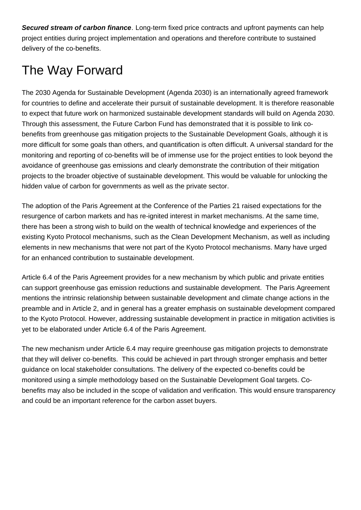**Secured stream of carbon finance**. Long-term fixed price contracts and upfront payments can help project entities during project implementation and operations and therefore contribute to sustained delivery of the co-benefits.

# The Way Forward

The 2030 Agenda for Sustainable Development (Agenda 2030) is an internationally agreed framework for countries to define and accelerate their pursuit of sustainable development. It is therefore reasonable to expect that future work on harmonized sustainable development standards will build on Agenda 2030. Through this assessment, the Future Carbon Fund has demonstrated that it is possible to link cobenefits from greenhouse gas mitigation projects to the Sustainable Development Goals, although it is more difficult for some goals than others, and quantification is often difficult. A universal standard for the monitoring and reporting of co-benefits will be of immense use for the project entities to look beyond the avoidance of greenhouse gas emissions and clearly demonstrate the contribution of their mitigation projects to the broader objective of sustainable development. This would be valuable for unlocking the hidden value of carbon for governments as well as the private sector.

The adoption of the Paris Agreement at the Conference of the Parties 21 raised expectations for the resurgence of carbon markets and has re-ignited interest in market mechanisms. At the same time, there has been a strong wish to build on the wealth of technical knowledge and experiences of the existing Kyoto Protocol mechanisms, such as the Clean Development Mechanism, as well as including elements in new mechanisms that were not part of the Kyoto Protocol mechanisms. Many have urged for an enhanced contribution to sustainable development.

Article 6.4 of the Paris Agreement provides for a new mechanism by which public and private entities can support greenhouse gas emission reductions and sustainable development. The Paris Agreement mentions the intrinsic relationship between sustainable development and climate change actions in the preamble and in Article 2, and in general has a greater emphasis on sustainable development compared to the Kyoto Protocol. However, addressing sustainable development in practice in mitigation activities is yet to be elaborated under Article 6.4 of the Paris Agreement.

The new mechanism under Article 6.4 may require greenhouse gas mitigation projects to demonstrate that they will deliver co-benefits. This could be achieved in part through stronger emphasis and better guidance on local stakeholder consultations. The delivery of the expected co-benefits could be monitored using a simple methodology based on the Sustainable Development Goal targets. Cobenefits may also be included in the scope of validation and verification. This would ensure transparency and could be an important reference for the carbon asset buyers.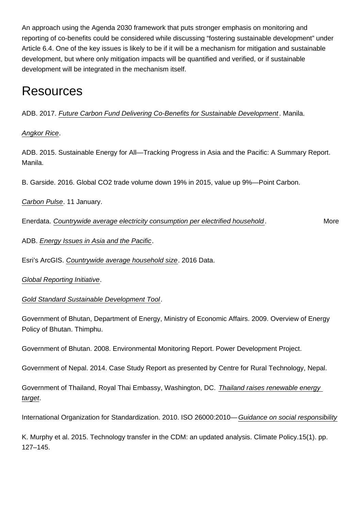An approach using the Agenda 2030 framework that puts stronger emphasis on monitoring and reporting of co-benefits could be considered while discussing "fostering sustainable development" under Article 6.4. One of the key issues is likely to be if it will be a mechanism for mitigation and sustainable development, but where only mitigation impacts will be quantified and verified, or if sustainable development will be integrated in the mechanism itself.

## **Resources**

ADB. 2017. [Future Carbon Fund Delivering Co-Benefits for Sustainable Development](https://www.adb.org/publications/future-carbon-fund-benefits-sustainable-development) . Manila.

#### [Angkor Rice](http://angkorrice.com/).

ADB. 2015. Sustainable Energy for All—Tracking Progress in Asia and the Pacific: A Summary Report. Manila.

B. Garside. 2016. Global CO2 trade volume down 19% in 2015, value up 9%—Point Carbon.

[Carbon Pulse](https://carbon-pulse.com/14102). 11 January.

Enerdata. [Countrywide average electricity consumption per electrified household.](https://wec-indicators.enerdata.net/household-electricity-use.html) More

ADB. [Energy Issues in Asia and the Pacific](https://www.adb.org/sectors/energy/issues).

Esri's ArcGIS. [Countrywide average household size.](http://www.arcgis.com/home/index.html) 2016 Data.

[Global Reporting Initiative.](https://www.globalreporting.org/Pages/default.aspx)

[Gold Standard Sustainable Development Tool.](https://www.goldstandard.org/)

Government of Bhutan, Department of Energy, Ministry of Economic Affairs. 2009. Overview of Energy Policy of Bhutan. Thimphu.

Government of Bhutan. 2008. Environmental Monitoring Report. Power Development Project.

Government of Nepal. 2014. Case Study Report as presented by Centre for Rural Technology, Nepal.

Government of Thailand, Royal Thai Embassy, Washington, DC. [Thailand raises renewable energy](http://thaiembdc.org/2017/07/03/thailand-raises-renewable-energytarget/)  [target.](http://thaiembdc.org/2017/07/03/thailand-raises-renewable-energytarget/)

International Organization for Standardization. 2010. ISO 26000:2010—[Guidance on social responsibility](https://www.iso.org/standard/42546.html)

K. Murphy et al. 2015. Technology transfer in the CDM: an updated analysis. Climate Policy.15(1). pp. 127–145.